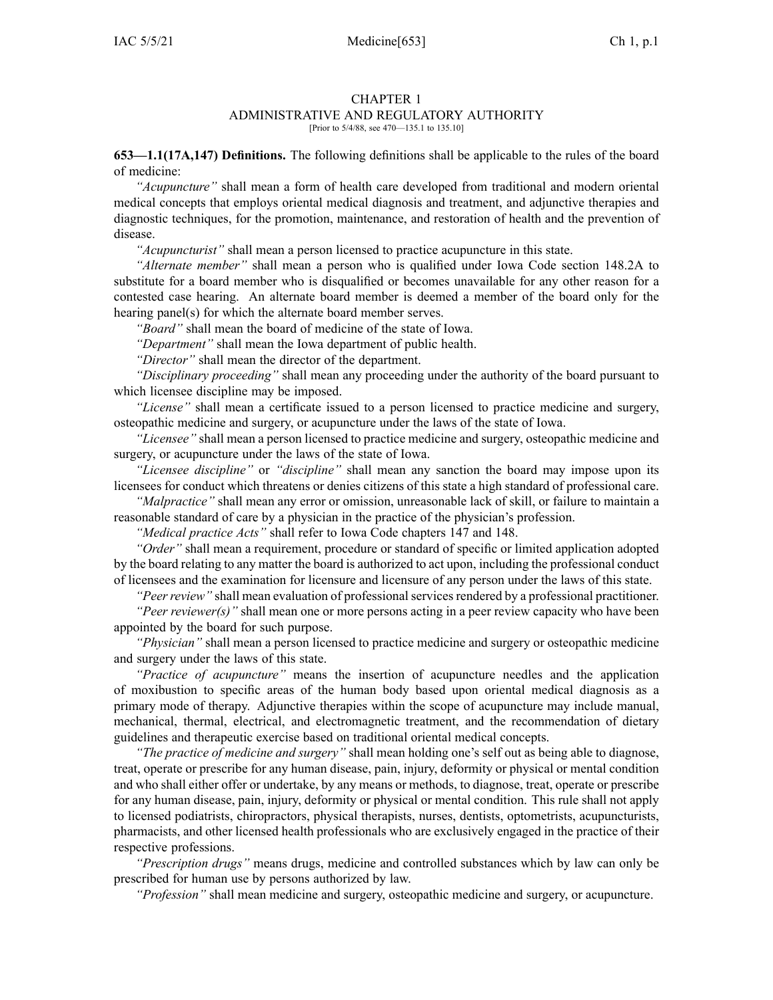#### CHAPTER 1

# ADMINISTRATIVE AND REGULATORY AUTHORITY

[Prior to 5/4/88, see 470—135.1 to 135.10]

**653—1.1(17A,147) Definitions.** The following definitions shall be applicable to the rules of the board of medicine:

*"Acupuncture"* shall mean <sup>a</sup> form of health care developed from traditional and modern oriental medical concepts that employs oriental medical diagnosis and treatment, and adjunctive therapies and diagnostic techniques, for the promotion, maintenance, and restoration of health and the prevention of disease.

*"Acupuncturist"* shall mean <sup>a</sup> person licensed to practice acupuncture in this state.

*"Alternate member"* shall mean <sup>a</sup> person who is qualified under Iowa Code section [148.2A](https://www.legis.iowa.gov/docs/ico/section/148.2A.pdf) to substitute for <sup>a</sup> board member who is disqualified or becomes unavailable for any other reason for <sup>a</sup> contested case hearing. An alternate board member is deemed <sup>a</sup> member of the board only for the hearing panel(s) for which the alternate board member serves.

*"Board"* shall mean the board of medicine of the state of Iowa.

*"Department"* shall mean the Iowa department of public health.

*"Director"* shall mean the director of the department.

*"Disciplinary proceeding"* shall mean any proceeding under the authority of the board pursuan<sup>t</sup> to which licensee discipline may be imposed.

*"License"* shall mean <sup>a</sup> certificate issued to <sup>a</sup> person licensed to practice medicine and surgery, osteopathic medicine and surgery, or acupuncture under the laws of the state of Iowa.

*"Licensee"* shall mean <sup>a</sup> person licensed to practice medicine and surgery, osteopathic medicine and surgery, or acupuncture under the laws of the state of Iowa.

*"Licensee discipline"* or *"discipline"* shall mean any sanction the board may impose upon its licensees for conduct which threatens or denies citizens of this state <sup>a</sup> high standard of professional care.

*"Malpractice"* shall mean any error or omission, unreasonable lack of skill, or failure to maintain <sup>a</sup> reasonable standard of care by <sup>a</sup> physician in the practice of the physician's profession.

*"Medical practice Acts"* shall refer to Iowa Code chapters [147](https://www.legis.iowa.gov/docs/ico/chapter/147.pdf) and [148](https://www.legis.iowa.gov/docs/ico/chapter/148.pdf).

*"Order"* shall mean <sup>a</sup> requirement, procedure or standard of specific or limited application adopted by the board relating to any matter the board is authorized to act upon, including the professional conduct of licensees and the examination for licensure and licensure of any person under the laws of this state.

*"Peer review"* shall mean evaluation of professional services rendered by a professional practitioner.

*"Peer reviewer(s)"* shall mean one or more persons acting in <sup>a</sup> peer review capacity who have been appointed by the board for such purpose.

*"Physician"* shall mean <sup>a</sup> person licensed to practice medicine and surgery or osteopathic medicine and surgery under the laws of this state.

*"Practice of acupuncture"* means the insertion of acupuncture needles and the application of moxibustion to specific areas of the human body based upon oriental medical diagnosis as <sup>a</sup> primary mode of therapy. Adjunctive therapies within the scope of acupuncture may include manual, mechanical, thermal, electrical, and electromagnetic treatment, and the recommendation of dietary guidelines and therapeutic exercise based on traditional oriental medical concepts.

*"The practice of medicine and surgery"* shall mean holding one's self out as being able to diagnose, treat, operate or prescribe for any human disease, pain, injury, deformity or physical or mental condition and who shall either offer or undertake, by any means or methods, to diagnose, treat, operate or prescribe for any human disease, pain, injury, deformity or physical or mental condition. This rule shall not apply to licensed podiatrists, chiropractors, physical therapists, nurses, dentists, optometrists, acupuncturists, pharmacists, and other licensed health professionals who are exclusively engaged in the practice of their respective professions.

*"Prescription drugs"* means drugs, medicine and controlled substances which by law can only be prescribed for human use by persons authorized by law.

*"Profession"* shall mean medicine and surgery, osteopathic medicine and surgery, or acupuncture.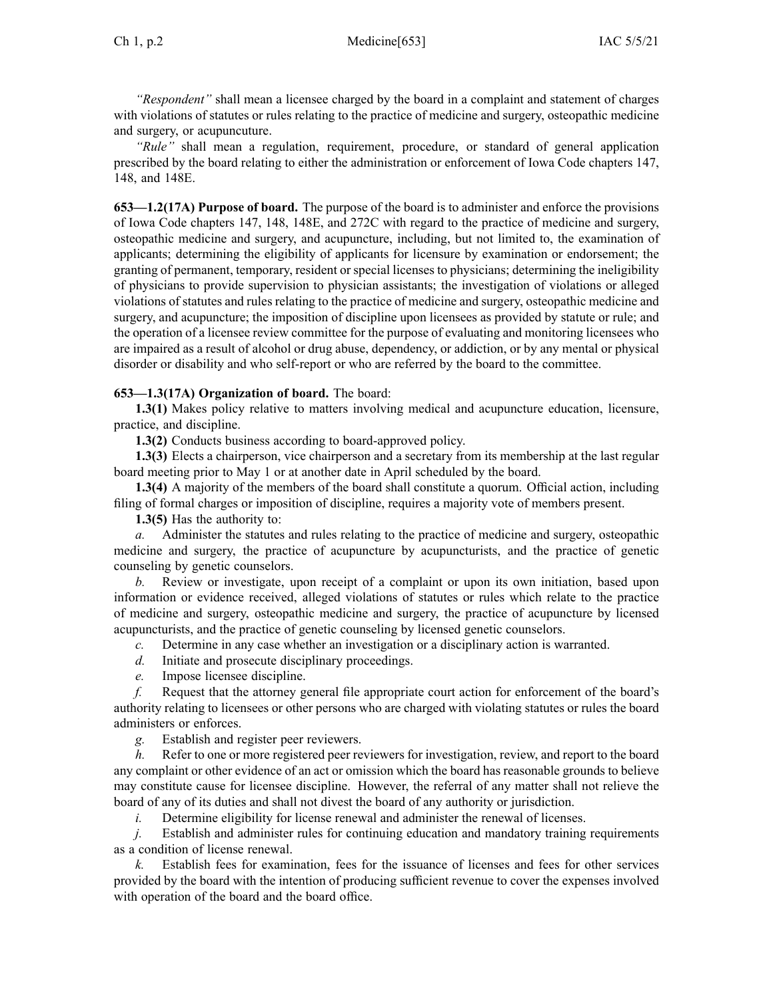*"Respondent"* shall mean <sup>a</sup> licensee charged by the board in <sup>a</sup> complaint and statement of charges with violations of statutes or rules relating to the practice of medicine and surgery, osteopathic medicine and surgery, or acupuncuture.

*"Rule"* shall mean <sup>a</sup> regulation, requirement, procedure, or standard of general application prescribed by the board relating to either the administration or enforcement of Iowa Code chapters [147](https://www.legis.iowa.gov/docs/ico/chapter/147.pdf), [148](https://www.legis.iowa.gov/docs/ico/chapter/148.pdf), and [148E](https://www.legis.iowa.gov/docs/ico/chapter/148E.pdf).

**653—1.2(17A) Purpose of board.** The purpose of the board is to administer and enforce the provisions of Iowa Code chapters [147](https://www.legis.iowa.gov/docs/ico/chapter/147.pdf), [148](https://www.legis.iowa.gov/docs/ico/chapter/148.pdf), [148E](https://www.legis.iowa.gov/docs/ico/chapter/148E.pdf), and [272C](https://www.legis.iowa.gov/docs/ico/chapter/272C.pdf) with regard to the practice of medicine and surgery, osteopathic medicine and surgery, and acupuncture, including, but not limited to, the examination of applicants; determining the eligibility of applicants for licensure by examination or endorsement; the granting of permanent, temporary, resident or special licenses to physicians; determining the ineligibility of physicians to provide supervision to physician assistants; the investigation of violations or alleged violations of statutes and rules relating to the practice of medicine and surgery, osteopathic medicine and surgery, and acupuncture; the imposition of discipline upon licensees as provided by statute or rule; and the operation of <sup>a</sup> licensee review committee for the purpose of evaluating and monitoring licensees who are impaired as <sup>a</sup> result of alcohol or drug abuse, dependency, or addiction, or by any mental or physical disorder or disability and who self-report or who are referred by the board to the committee.

## **653—1.3(17A) Organization of board.** The board:

**1.3(1)** Makes policy relative to matters involving medical and acupuncture education, licensure, practice, and discipline.

**1.3(2)** Conducts business according to board-approved policy.

**1.3(3)** Elects <sup>a</sup> chairperson, vice chairperson and <sup>a</sup> secretary from its membership at the last regular board meeting prior to May 1 or at another date in April scheduled by the board.

**1.3(4)** A majority of the members of the board shall constitute <sup>a</sup> quorum. Official action, including filing of formal charges or imposition of discipline, requires <sup>a</sup> majority vote of members present.

**1.3(5)** Has the authority to:

*a.* Administer the statutes and rules relating to the practice of medicine and surgery, osteopathic medicine and surgery, the practice of acupuncture by acupuncturists, and the practice of genetic counseling by genetic counselors.

*b.* Review or investigate, upon receipt of <sup>a</sup> complaint or upon its own initiation, based upon information or evidence received, alleged violations of statutes or rules which relate to the practice of medicine and surgery, osteopathic medicine and surgery, the practice of acupuncture by licensed acupuncturists, and the practice of genetic counseling by licensed genetic counselors.

- *c.* Determine in any case whether an investigation or <sup>a</sup> disciplinary action is warranted.
- *d.* Initiate and prosecute disciplinary proceedings.
- *e.* Impose licensee discipline.

*f.* Request that the attorney general file appropriate court action for enforcement of the board's authority relating to licensees or other persons who are charged with violating statutes or rules the board administers or enforces.

*g.* Establish and register peer reviewers.

*h.* Refer to one or more registered peer reviewers for investigation, review, and repor<sup>t</sup> to the board any complaint or other evidence of an act or omission which the board has reasonable grounds to believe may constitute cause for licensee discipline. However, the referral of any matter shall not relieve the board of any of its duties and shall not divest the board of any authority or jurisdiction.

*i.* Determine eligibility for license renewal and administer the renewal of licenses.

*j.* Establish and administer rules for continuing education and mandatory training requirements as <sup>a</sup> condition of license renewal.

*k.* Establish fees for examination, fees for the issuance of licenses and fees for other services provided by the board with the intention of producing sufficient revenue to cover the expenses involved with operation of the board and the board office.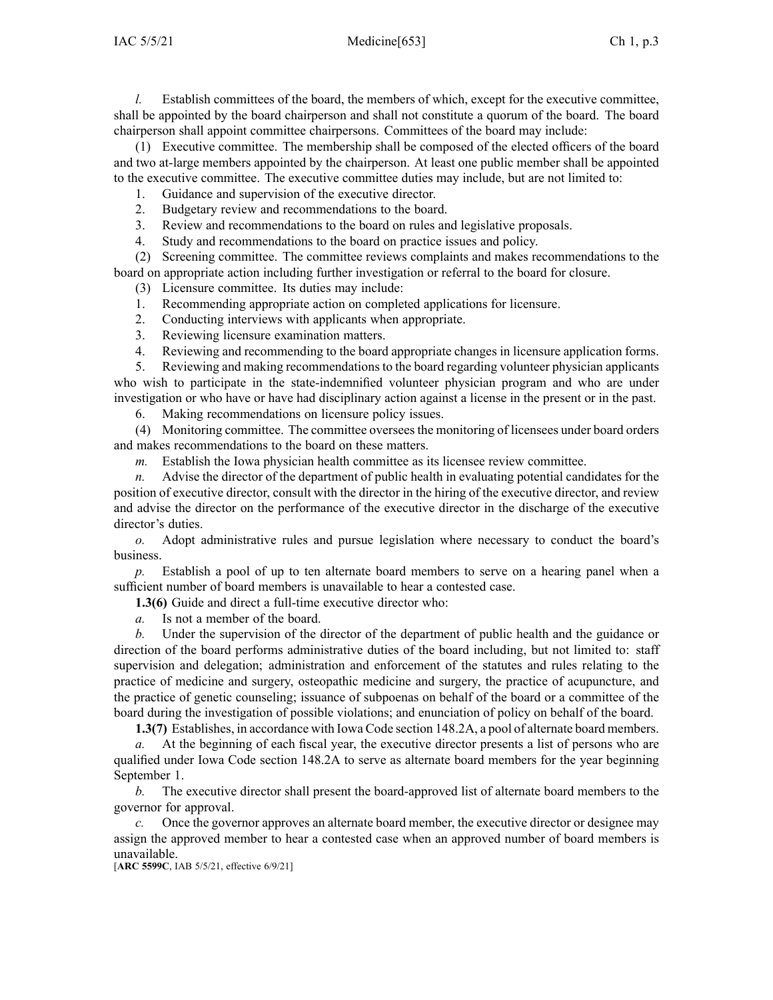*l.* Establish committees of the board, the members of which, except for the executive committee, shall be appointed by the board chairperson and shall not constitute <sup>a</sup> quorum of the board. The board chairperson shall appoint committee chairpersons. Committees of the board may include:

(1) Executive committee. The membership shall be composed of the elected officers of the board and two at-large members appointed by the chairperson. At least one public member shall be appointed to the executive committee. The executive committee duties may include, but are not limited to:

1. Guidance and supervision of the executive director.

2. Budgetary review and recommendations to the board.

3. Review and recommendations to the board on rules and legislative proposals.

4. Study and recommendations to the board on practice issues and policy.

(2) Screening committee. The committee reviews complaints and makes recommendations to the board on appropriate action including further investigation or referral to the board for closure.

(3) Licensure committee. Its duties may include:

1. Recommending appropriate action on completed applications for licensure.

2. Conducting interviews with applicants when appropriate.

3. Reviewing licensure examination matters.

4. Reviewing and recommending to the board appropriate changes in licensure application forms.

5. Reviewing and making recommendations to the board regarding volunteer physician applicants who wish to participate in the state-indemnified volunteer physician program and who are under investigation or who have or have had disciplinary action against <sup>a</sup> license in the presen<sup>t</sup> or in the past.

6. Making recommendations on licensure policy issues.

(4) Monitoring committee. The committee overseesthe monitoring of licensees under board orders and makes recommendations to the board on these matters.

*m.* Establish the Iowa physician health committee as its licensee review committee.

*n.* Advise the director of the department of public health in evaluating potential candidates for the position of executive director, consult with the director in the hiring of the executive director, and review and advise the director on the performance of the executive director in the discharge of the executive director's duties.

*o.* Adopt administrative rules and pursue legislation where necessary to conduct the board's business.

*p.* Establish <sup>a</sup> pool of up to ten alternate board members to serve on <sup>a</sup> hearing panel when <sup>a</sup> sufficient number of board members is unavailable to hear <sup>a</sup> contested case.

**1.3(6)** Guide and direct <sup>a</sup> full-time executive director who:

*a.* Is not <sup>a</sup> member of the board.

*b.* Under the supervision of the director of the department of public health and the guidance or direction of the board performs administrative duties of the board including, but not limited to: staff supervision and delegation; administration and enforcement of the statutes and rules relating to the practice of medicine and surgery, osteopathic medicine and surgery, the practice of acupuncture, and the practice of genetic counseling; issuance of subpoenas on behalf of the board or <sup>a</sup> committee of the board during the investigation of possible violations; and enunciation of policy on behalf of the board.

**1.3(7)** Establishes, in accordance with Iowa Code section [148.2A](https://www.legis.iowa.gov/docs/ico/section/148.2A.pdf), <sup>a</sup> pool of alternate board members.

*a.* At the beginning of each fiscal year, the executive director presents <sup>a</sup> list of persons who are qualified under Iowa Code section [148.2A](https://www.legis.iowa.gov/docs/ico/section/148.2A.pdf) to serve as alternate board members for the year beginning September 1.

*b.* The executive director shall presen<sup>t</sup> the board-approved list of alternate board members to the governor for approval.

Once the governor approves an alternate board member, the executive director or designee may assign the approved member to hear <sup>a</sup> contested case when an approved number of board members is unavailable.

[**ARC [5599C](https://www.legis.iowa.gov/docs/aco/arc/5599C.pdf)**, IAB 5/5/21, effective 6/9/21]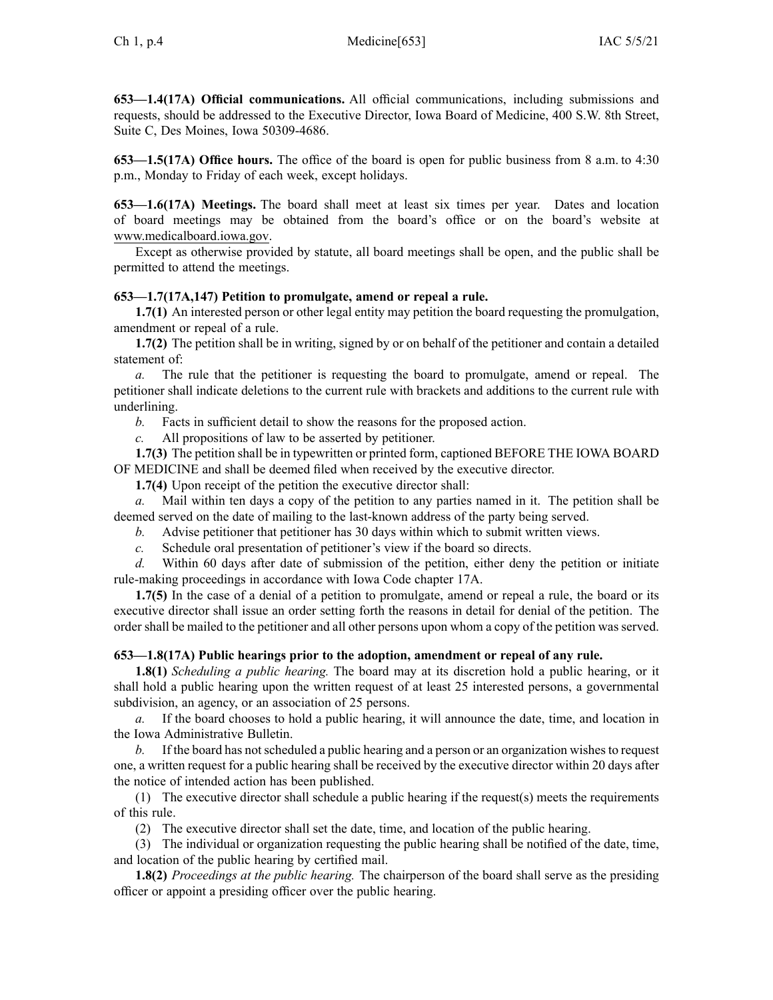**653—1.4(17A) Official communications.** All official communications, including submissions and requests, should be addressed to the Executive Director, Iowa Board of Medicine, 400 S.W. 8th Street, Suite C, Des Moines, Iowa 50309-4686.

**653—1.5(17A) Office hours.** The office of the board is open for public business from 8 a.m. to 4:30 p.m., Monday to Friday of each week, excep<sup>t</sup> holidays.

**653—1.6(17A) Meetings.** The board shall meet at least six times per year. Dates and location of board meetings may be obtained from the board's office or on the board's website at www.medicalboard.iowa.gov.

Except as otherwise provided by statute, all board meetings shall be open, and the public shall be permitted to attend the meetings.

## **653—1.7(17A,147) Petition to promulgate, amend or repeal <sup>a</sup> rule.**

**1.7(1)** An interested person or other legal entity may petition the board requesting the promulgation, amendment or repeal of <sup>a</sup> rule.

**1.7(2)** The petition shall be in writing, signed by or on behalf of the petitioner and contain <sup>a</sup> detailed statement of:

*a.* The rule that the petitioner is requesting the board to promulgate, amend or repeal. The petitioner shall indicate deletions to the current rule with brackets and additions to the current rule with underlining.

*b.* Facts in sufficient detail to show the reasons for the proposed action.

*c.* All propositions of law to be asserted by petitioner.

**1.7(3)** The petition shall be in typewritten or printed form, captioned BEFORE THE IOWA BOARD OF MEDICINE and shall be deemed filed when received by the executive director.

**1.7(4)** Upon receipt of the petition the executive director shall:

*a.* Mail within ten days <sup>a</sup> copy of the petition to any parties named in it. The petition shall be deemed served on the date of mailing to the last-known address of the party being served.

*b.* Advise petitioner that petitioner has 30 days within which to submit written views.

*c.* Schedule oral presentation of petitioner's view if the board so directs.

*d.* Within 60 days after date of submission of the petition, either deny the petition or initiate rule-making proceedings in accordance with Iowa Code chapter [17A](https://www.legis.iowa.gov/docs/ico/chapter/17A.pdf).

**1.7(5)** In the case of <sup>a</sup> denial of <sup>a</sup> petition to promulgate, amend or repeal <sup>a</sup> rule, the board or its executive director shall issue an order setting forth the reasons in detail for denial of the petition. The order shall be mailed to the petitioner and all other persons upon whom <sup>a</sup> copy of the petition was served.

### **653—1.8(17A) Public hearings prior to the adoption, amendment or repeal of any rule.**

**1.8(1)** *Scheduling <sup>a</sup> public hearing.* The board may at its discretion hold <sup>a</sup> public hearing, or it shall hold <sup>a</sup> public hearing upon the written reques<sup>t</sup> of at least 25 interested persons, <sup>a</sup> governmental subdivision, an agency, or an association of 25 persons.

*a.* If the board chooses to hold <sup>a</sup> public hearing, it will announce the date, time, and location in the Iowa Administrative Bulletin.

*b.* If the board has not scheduled a public hearing and a person or an organization wishes to request one, <sup>a</sup> written reques<sup>t</sup> for <sup>a</sup> public hearing shall be received by the executive director within 20 days after the notice of intended action has been published.

(1) The executive director shall schedule <sup>a</sup> public hearing if the request(s) meets the requirements of this rule.

(2) The executive director shall set the date, time, and location of the public hearing.

(3) The individual or organization requesting the public hearing shall be notified of the date, time, and location of the public hearing by certified mail.

**1.8(2)** *Proceedings at the public hearing.* The chairperson of the board shall serve as the presiding officer or appoint <sup>a</sup> presiding officer over the public hearing.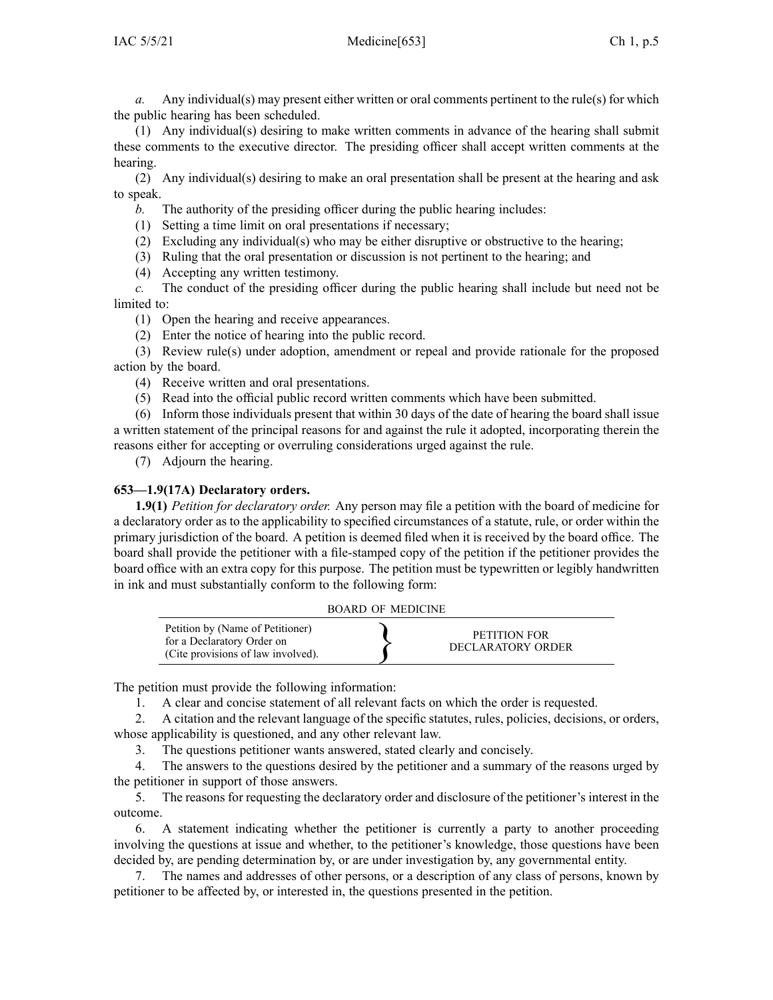*a.* Any individual(s) may presen<sup>t</sup> either written or oral comments pertinent to the rule(s) for which the public hearing has been scheduled.

(1) Any individual(s) desiring to make written comments in advance of the hearing shall submit these comments to the executive director. The presiding officer shall accep<sup>t</sup> written comments at the hearing.

(2) Any individual(s) desiring to make an oral presentation shall be presen<sup>t</sup> at the hearing and ask to speak.

*b.* The authority of the presiding officer during the public hearing includes:

(1) Setting <sup>a</sup> time limit on oral presentations if necessary;

(2) Excluding any individual(s) who may be either disruptive or obstructive to the hearing;

- (3) Ruling that the oral presentation or discussion is not pertinent to the hearing; and
- (4) Accepting any written testimony.

*c.* The conduct of the presiding officer during the public hearing shall include but need not be limited to:

(1) Open the hearing and receive appearances.

(2) Enter the notice of hearing into the public record.

(3) Review rule(s) under adoption, amendment or repeal and provide rationale for the proposed action by the board.

(4) Receive written and oral presentations.

(5) Read into the official public record written comments which have been submitted.

(6) Inform those individuals presen<sup>t</sup> that within 30 days of the date of hearing the board shall issue <sup>a</sup> written statement of the principal reasons for and against the rule it adopted, incorporating therein the reasons either for accepting or overruling considerations urged against the rule.

(7) Adjourn the hearing.

## **653—1.9(17A) Declaratory orders.**

**1.9(1)** *Petition for declaratory order.* Any person may file <sup>a</sup> petition with the board of medicine for <sup>a</sup> declaratory order as to the applicability to specified circumstances of <sup>a</sup> statute, rule, or order within the primary jurisdiction of the board. A petition is deemed filed when it is received by the board office. The board shall provide the petitioner with <sup>a</sup> file-stamped copy of the petition if the petitioner provides the board office with an extra copy for this purpose. The petition must be typewritten or legibly handwritten in ink and must substantially conform to the following form:

|  | BOARD OF MEDICINE |
|--|-------------------|
|  |                   |

| Petition by (Name of Petitioner)<br>for a Declaratory Order on<br>(Cite provisions of law involved). | PETITION FOR<br>DECLARATORY ORDER |
|------------------------------------------------------------------------------------------------------|-----------------------------------|
|------------------------------------------------------------------------------------------------------|-----------------------------------|

The petition must provide the following information:

1. A clear and concise statement of all relevant facts on which the order is requested.

2. A citation and the relevant language of the specific statutes, rules, policies, decisions, or orders, whose applicability is questioned, and any other relevant law.

3. The questions petitioner wants answered, stated clearly and concisely.

4. The answers to the questions desired by the petitioner and <sup>a</sup> summary of the reasons urged by the petitioner in suppor<sup>t</sup> of those answers.

5. The reasons for requesting the declaratory order and disclosure of the petitioner's interest in the outcome.

6. A statement indicating whether the petitioner is currently <sup>a</sup> party to another proceeding involving the questions at issue and whether, to the petitioner's knowledge, those questions have been decided by, are pending determination by, or are under investigation by, any governmental entity.

7. The names and addresses of other persons, or <sup>a</sup> description of any class of persons, known by petitioner to be affected by, or interested in, the questions presented in the petition.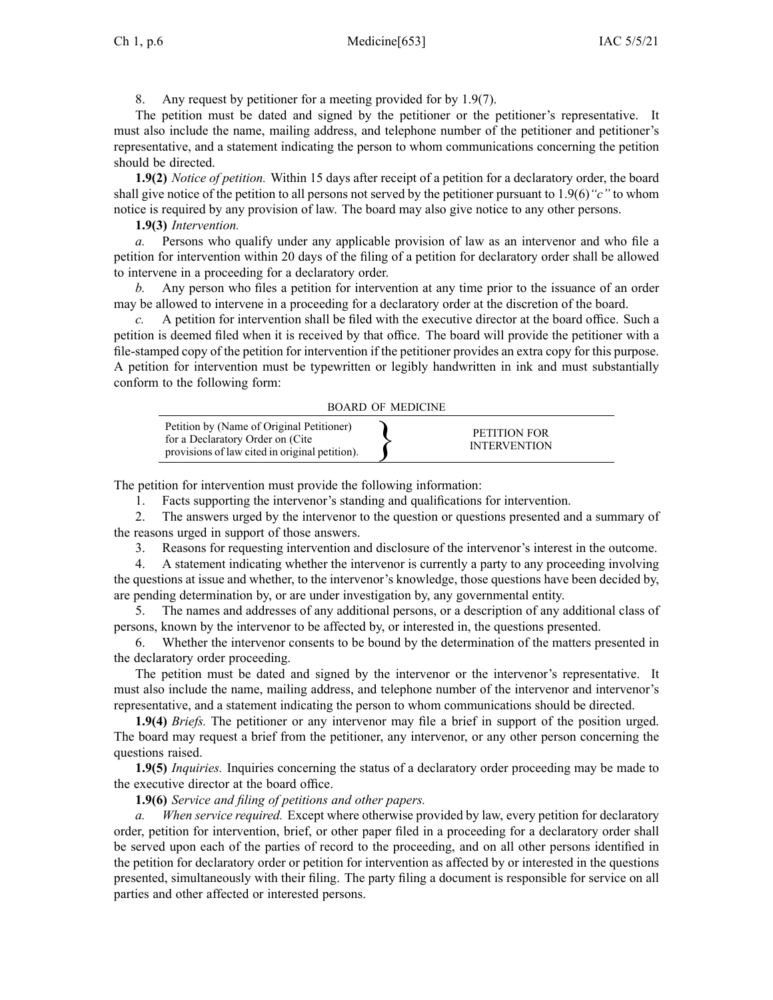8. Any reques<sup>t</sup> by petitioner for <sup>a</sup> meeting provided for by 1.9(7).

The petition must be dated and signed by the petitioner or the petitioner's representative. It must also include the name, mailing address, and telephone number of the petitioner and petitioner's representative, and <sup>a</sup> statement indicating the person to whom communications concerning the petition should be directed.

**1.9(2)** *Notice of petition.* Within 15 days after receipt of <sup>a</sup> petition for <sup>a</sup> declaratory order, the board shall give notice of the petition to all persons not served by the petitioner pursuan<sup>t</sup> to [1.9\(6\)](https://www.legis.iowa.gov/docs/iac/rule/653.1.9.pdf)*"c"* to whom notice is required by any provision of law. The board may also give notice to any other persons.

**1.9(3)** *Intervention.*

*a.* Persons who qualify under any applicable provision of law as an intervenor and who file <sup>a</sup> petition for intervention within 20 days of the filing of <sup>a</sup> petition for declaratory order shall be allowed to intervene in <sup>a</sup> proceeding for <sup>a</sup> declaratory order.

*b.* Any person who files <sup>a</sup> petition for intervention at any time prior to the issuance of an order may be allowed to intervene in <sup>a</sup> proceeding for <sup>a</sup> declaratory order at the discretion of the board.

*c.* A petition for intervention shall be filed with the executive director at the board office. Such <sup>a</sup> petition is deemed filed when it is received by that office. The board will provide the petitioner with <sup>a</sup> file-stamped copy of the petition for intervention if the petitioner provides an extra copy for this purpose. A petition for intervention must be typewritten or legibly handwritten in ink and must substantially conform to the following form:

| Petition by (Name of Original Petitioner)<br>for a Declaratory Order on (Cite<br>provisions of law cited in original petition). |  | PETITION FOR<br><b>INTERVENTION</b> |
|---------------------------------------------------------------------------------------------------------------------------------|--|-------------------------------------|
|---------------------------------------------------------------------------------------------------------------------------------|--|-------------------------------------|

The petition for intervention must provide the following information:

1. Facts supporting the intervenor's standing and qualifications for intervention.

2. The answers urged by the intervenor to the question or questions presented and <sup>a</sup> summary of the reasons urged in suppor<sup>t</sup> of those answers.

3. Reasons for requesting intervention and disclosure of the intervenor's interest in the outcome.

4. A statement indicating whether the intervenor is currently <sup>a</sup> party to any proceeding involving the questions at issue and whether, to the intervenor's knowledge, those questions have been decided by, are pending determination by, or are under investigation by, any governmental entity.

5. The names and addresses of any additional persons, or <sup>a</sup> description of any additional class of persons, known by the intervenor to be affected by, or interested in, the questions presented.

6. Whether the intervenor consents to be bound by the determination of the matters presented in the declaratory order proceeding.

The petition must be dated and signed by the intervenor or the intervenor's representative. It must also include the name, mailing address, and telephone number of the intervenor and intervenor's representative, and <sup>a</sup> statement indicating the person to whom communications should be directed.

**1.9(4)** *Briefs.* The petitioner or any intervenor may file <sup>a</sup> brief in suppor<sup>t</sup> of the position urged. The board may reques<sup>t</sup> <sup>a</sup> brief from the petitioner, any intervenor, or any other person concerning the questions raised.

**1.9(5)** *Inquiries.* Inquiries concerning the status of <sup>a</sup> declaratory order proceeding may be made to the executive director at the board office.

**1.9(6)** *Service and filing of petitions and other papers.*

*When service required.* Except where otherwise provided by law, every petition for declaratory order, petition for intervention, brief, or other paper filed in <sup>a</sup> proceeding for <sup>a</sup> declaratory order shall be served upon each of the parties of record to the proceeding, and on all other persons identified in the petition for declaratory order or petition for intervention as affected by or interested in the questions presented, simultaneously with their filing. The party filing <sup>a</sup> document is responsible for service on all parties and other affected or interested persons.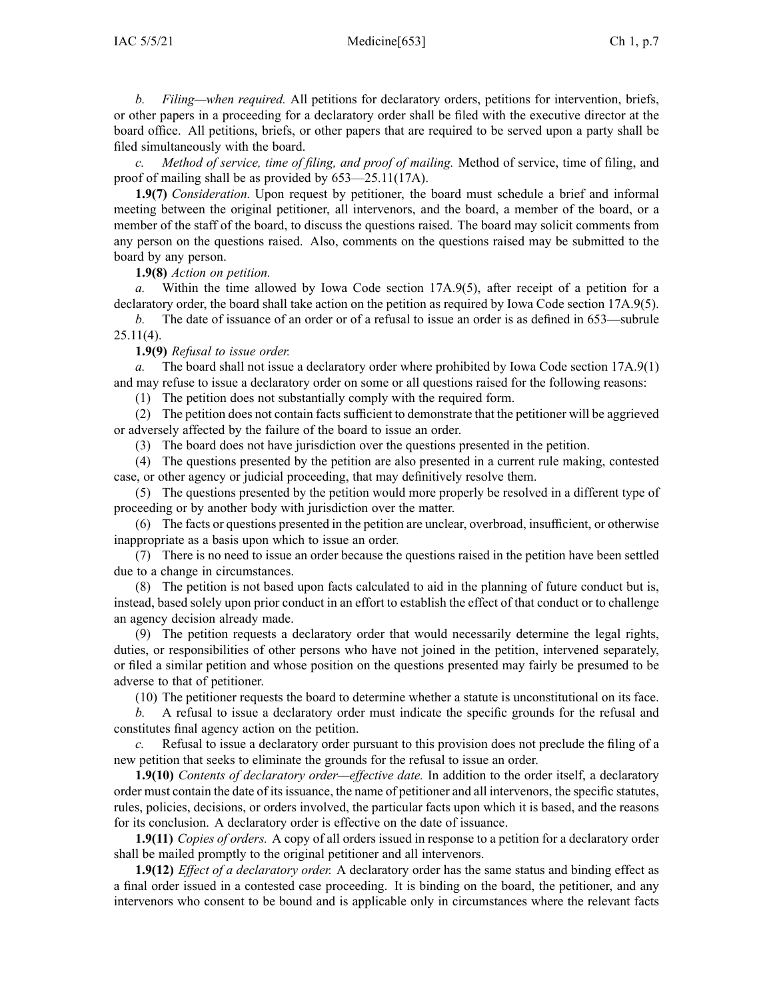### IAC 5/5/21 Medicine[653] Ch 1, p.7

*b. Filing—when required.* All petitions for declaratory orders, petitions for intervention, briefs, or other papers in <sup>a</sup> proceeding for <sup>a</sup> declaratory order shall be filed with the executive director at the board office. All petitions, briefs, or other papers that are required to be served upon <sup>a</sup> party shall be filed simultaneously with the board.

*c. Method of service, time of filing, and proof of mailing.* Method of service, time of filing, and proof of mailing shall be as provided by [653—25.11](https://www.legis.iowa.gov/docs/iac/rule/653.25.11.pdf)(17A).

**1.9(7)** *Consideration.* Upon reques<sup>t</sup> by petitioner, the board must schedule <sup>a</sup> brief and informal meeting between the original petitioner, all intervenors, and the board, <sup>a</sup> member of the board, or <sup>a</sup> member of the staff of the board, to discuss the questions raised. The board may solicit comments from any person on the questions raised. Also, comments on the questions raised may be submitted to the board by any person.

**1.9(8)** *Action on petition.*

*a.* Within the time allowed by Iowa Code section [17A.9\(5\)](https://www.legis.iowa.gov/docs/ico/section/17A.9.pdf), after receipt of <sup>a</sup> petition for <sup>a</sup> declaratory order, the board shall take action on the petition as required by Iowa Code section [17A.9\(5\)](https://www.legis.iowa.gov/docs/ico/section/17A.9.pdf).

*b.* The date of issuance of an order or of a refusal to issue an order is as defined in [653—subrule](https://www.legis.iowa.gov/docs/iac/rule/653.25.11.pdf) [25.11\(4\)](https://www.legis.iowa.gov/docs/iac/rule/653.25.11.pdf).

**1.9(9)** *Refusal to issue order.*

*a.* The board shall not issue <sup>a</sup> declaratory order where prohibited by Iowa Code section [17A.9\(1\)](https://www.legis.iowa.gov/docs/ico/section/17A.9.pdf) and may refuse to issue <sup>a</sup> declaratory order on some or all questions raised for the following reasons:

(1) The petition does not substantially comply with the required form.

(2) The petition does not contain factssufficient to demonstrate that the petitioner will be aggrieved or adversely affected by the failure of the board to issue an order.

(3) The board does not have jurisdiction over the questions presented in the petition.

(4) The questions presented by the petition are also presented in <sup>a</sup> current rule making, contested case, or other agency or judicial proceeding, that may definitively resolve them.

(5) The questions presented by the petition would more properly be resolved in <sup>a</sup> different type of proceeding or by another body with jurisdiction over the matter.

(6) The facts or questions presented in the petition are unclear, overbroad, insufficient, or otherwise inappropriate as <sup>a</sup> basis upon which to issue an order.

(7) There is no need to issue an order because the questions raised in the petition have been settled due to <sup>a</sup> change in circumstances.

(8) The petition is not based upon facts calculated to aid in the planning of future conduct but is, instead, based solely upon prior conduct in an effort to establish the effect of that conduct or to challenge an agency decision already made.

(9) The petition requests <sup>a</sup> declaratory order that would necessarily determine the legal rights, duties, or responsibilities of other persons who have not joined in the petition, intervened separately, or filed <sup>a</sup> similar petition and whose position on the questions presented may fairly be presumed to be adverse to that of petitioner.

(10) The petitioner requests the board to determine whether <sup>a</sup> statute is unconstitutional on its face.

*b.* A refusal to issue <sup>a</sup> declaratory order must indicate the specific grounds for the refusal and constitutes final agency action on the petition.

*c.* Refusal to issue <sup>a</sup> declaratory order pursuan<sup>t</sup> to this provision does not preclude the filing of <sup>a</sup> new petition that seeks to eliminate the grounds for the refusal to issue an order.

**1.9(10)** *Contents of declaratory order—effective date.* In addition to the order itself, <sup>a</sup> declaratory order must contain the date of itsissuance, the name of petitioner and all intervenors, the specific statutes, rules, policies, decisions, or orders involved, the particular facts upon which it is based, and the reasons for its conclusion. A declaratory order is effective on the date of issuance.

**1.9(11)** *Copies of orders.* A copy of all orders issued in response to <sup>a</sup> petition for <sup>a</sup> declaratory order shall be mailed promptly to the original petitioner and all intervenors.

**1.9(12)** *Effect of <sup>a</sup> declaratory order.* A declaratory order has the same status and binding effect as <sup>a</sup> final order issued in <sup>a</sup> contested case proceeding. It is binding on the board, the petitioner, and any intervenors who consent to be bound and is applicable only in circumstances where the relevant facts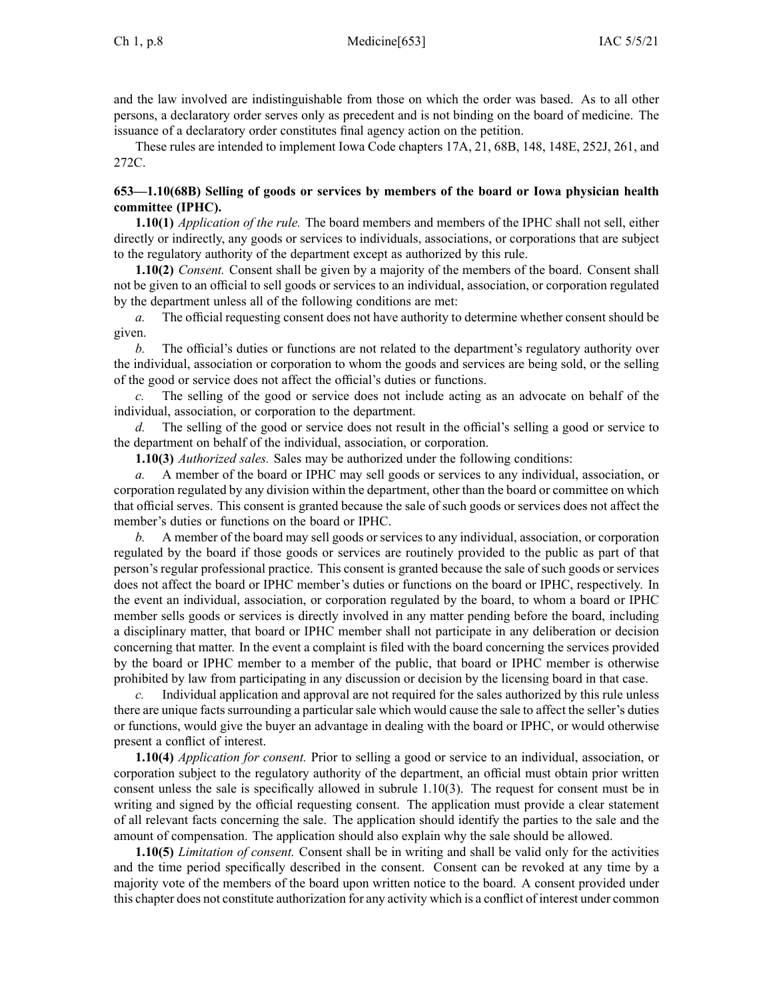and the law involved are indistinguishable from those on which the order was based. As to all other persons, <sup>a</sup> declaratory order serves only as precedent and is not binding on the board of medicine. The issuance of <sup>a</sup> declaratory order constitutes final agency action on the petition.

These rules are intended to implement Iowa Code chapters [17A](https://www.legis.iowa.gov/docs/ico/chapter/17A.pdf), [21](https://www.legis.iowa.gov/docs/ico/chapter/21.pdf), [68B](https://www.legis.iowa.gov/docs/ico/chapter/68B.pdf), [148](https://www.legis.iowa.gov/docs/ico/chapter/148.pdf), [148E](https://www.legis.iowa.gov/docs/ico/chapter/148E.pdf), [252J](https://www.legis.iowa.gov/docs/ico/chapter/252J.pdf), [261](https://www.legis.iowa.gov/docs/ico/chapter/261.pdf), and [272C](https://www.legis.iowa.gov/docs/ico/chapter/272C.pdf).

## **653—1.10(68B) Selling of goods or services by members of the board or Iowa physician health committee (IPHC).**

**1.10(1)** *Application of the rule.* The board members and members of the IPHC shall not sell, either directly or indirectly, any goods or services to individuals, associations, or corporations that are subject to the regulatory authority of the department excep<sup>t</sup> as authorized by this rule.

**1.10(2)** *Consent.* Consent shall be given by <sup>a</sup> majority of the members of the board. Consent shall not be given to an official to sell goods or services to an individual, association, or corporation regulated by the department unless all of the following conditions are met:

*a.* The official requesting consent does not have authority to determine whether consent should be given.

*b.* The official's duties or functions are not related to the department's regulatory authority over the individual, association or corporation to whom the goods and services are being sold, or the selling of the good or service does not affect the official's duties or functions.

The selling of the good or service does not include acting as an advocate on behalf of the individual, association, or corporation to the department.

*d.* The selling of the good or service does not result in the official's selling <sup>a</sup> good or service to the department on behalf of the individual, association, or corporation.

**1.10(3)** *Authorized sales.* Sales may be authorized under the following conditions:

*a.* A member of the board or IPHC may sell goods or services to any individual, association, or corporation regulated by any division within the department, other than the board or committee on which that official serves. This consent is granted because the sale of such goods or services does not affect the member's duties or functions on the board or IPHC.

*b.* A member of the board may sell goods or services to any individual, association, or corporation regulated by the board if those goods or services are routinely provided to the public as par<sup>t</sup> of that person's regular professional practice. This consent is granted because the sale of such goods or services does not affect the board or IPHC member's duties or functions on the board or IPHC, respectively. In the event an individual, association, or corporation regulated by the board, to whom <sup>a</sup> board or IPHC member sells goods or services is directly involved in any matter pending before the board, including <sup>a</sup> disciplinary matter, that board or IPHC member shall not participate in any deliberation or decision concerning that matter. In the event <sup>a</sup> complaint is filed with the board concerning the services provided by the board or IPHC member to <sup>a</sup> member of the public, that board or IPHC member is otherwise prohibited by law from participating in any discussion or decision by the licensing board in that case.

*c.* Individual application and approval are not required for the sales authorized by this rule unless there are unique facts surrounding <sup>a</sup> particular sale which would cause the sale to affect the seller's duties or functions, would give the buyer an advantage in dealing with the board or IPHC, or would otherwise presen<sup>t</sup> <sup>a</sup> conflict of interest.

**1.10(4)** *Application for consent.* Prior to selling <sup>a</sup> good or service to an individual, association, or corporation subject to the regulatory authority of the department, an official must obtain prior written consent unless the sale is specifically allowed in subrule [1.10\(3\)](https://www.legis.iowa.gov/docs/iac/rule/653.1.10.pdf). The reques<sup>t</sup> for consent must be in writing and signed by the official requesting consent. The application must provide <sup>a</sup> clear statement of all relevant facts concerning the sale. The application should identify the parties to the sale and the amount of compensation. The application should also explain why the sale should be allowed.

**1.10(5)** *Limitation of consent.* Consent shall be in writing and shall be valid only for the activities and the time period specifically described in the consent. Consent can be revoked at any time by <sup>a</sup> majority vote of the members of the board upon written notice to the board. A consent provided under this chapter does not constitute authorization for any activity which is <sup>a</sup> conflict of interest under common